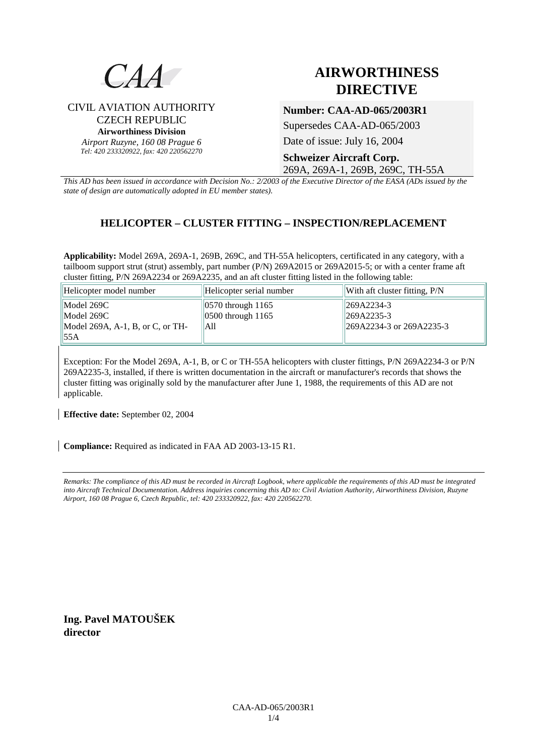

CIVIL AVIATION AUTHORITY CZECH REPUBLIC **Airworthiness Division**  *Airport Ruzyne, 160 08 Prague 6 Tel: 420 233320922, fax: 420 220562270*

# **AIRWORTHINESS DIRECTIVE**

## **Number: CAA-AD-065/2003R1**

Supersedes CAA-AD-065/2003

Date of issue: July 16, 2004

## **Schweizer Aircraft Corp.**

269A, 269A-1, 269B, 269C, TH-55A

*This AD has been issued in accordance with Decision No.: 2/2003 of the Executive Director of the EASA (ADs issued by the state of design are automatically adopted in EU member states).*

#### **HELICOPTER – CLUSTER FITTING – INSPECTION/REPLACEMENT**

**Applicability:** Model 269A, 269A-1, 269B, 269C, and TH-55A helicopters, certificated in any category, with a tailboom support strut (strut) assembly, part number (P/N) 269A2015 or 269A2015-5; or with a center frame aft cluster fitting, P/N 269A2234 or 269A2235, and an aft cluster fitting listed in the following table:

| Helicopter model number          | Helicopter serial number | $\parallel$ With aft cluster fitting, $P/N$ |
|----------------------------------|--------------------------|---------------------------------------------|
| Model 269C                       | $ 0570$ through 1165     | $  269A2234-3$                              |
| Model 269C                       | $ 0500$ through 1165     | $ 269A2235-3 $                              |
| Model 269A, A-1, B, or C, or TH- | lA11                     | $\parallel$ 269A2234-3 or 269A2235-3        |
| 155A                             |                          |                                             |

Exception: For the Model 269A, A-1, B, or C or TH-55A helicopters with cluster fittings, P/N 269A2234-3 or P/N 269A2235-3, installed, if there is written documentation in the aircraft or manufacturer's records that shows the cluster fitting was originally sold by the manufacturer after June 1, 1988, the requirements of this AD are not applicable.

**Effective date:** September 02, 2004

**Compliance:** Required as indicated in FAA AD 2003-13-15 R1.

*Remarks: The compliance of this AD must be recorded in Aircraft Logbook, where applicable the requirements of this AD must be integrated into Aircraft Technical Documentation. Address inquiries concerning this AD to: Civil Aviation Authority, Airworthiness Division, Ruzyne Airport, 160 08 Prague 6, Czech Republic, tel: 420 233320922, fax: 420 220562270.* 

**Ing. Pavel MATOUŠEK director**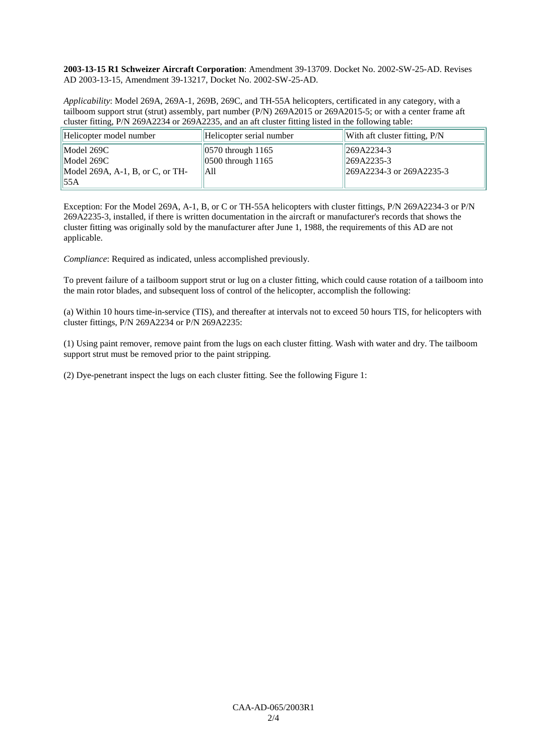**2003-13-15 R1 Schweizer Aircraft Corporation**: Amendment 39-13709. Docket No. 2002-SW-25-AD. Revises AD 2003-13-15, Amendment 39-13217, Docket No. 2002-SW-25-AD.

*Applicability*: Model 269A, 269A-1, 269B, 269C, and TH-55A helicopters, certificated in any category, with a tailboom support strut (strut) assembly, part number (P/N) 269A2015 or 269A2015-5; or with a center frame aft cluster fitting, P/N 269A2234 or 269A2235, and an aft cluster fitting listed in the following table:

| Helicopter model number          | Helicopter serial number  | $\parallel$ With aft cluster fitting, $P/N$ |
|----------------------------------|---------------------------|---------------------------------------------|
| Model 269C                       | $ 0570$ through 1165      | $  269A2234-3$                              |
| Model 269C                       | $\vert$ 0500 through 1165 | $ 269A2235-3 $                              |
| Model 269A, A-1, B, or C, or TH- | lA11                      | $\parallel$ 269A2234-3 or 269A2235-3        |
| 55A                              |                           |                                             |

Exception: For the Model 269A, A-1, B, or C or TH-55A helicopters with cluster fittings, P/N 269A2234-3 or P/N 269A2235-3, installed, if there is written documentation in the aircraft or manufacturer's records that shows the cluster fitting was originally sold by the manufacturer after June 1, 1988, the requirements of this AD are not applicable.

*Compliance*: Required as indicated, unless accomplished previously.

To prevent failure of a tailboom support strut or lug on a cluster fitting, which could cause rotation of a tailboom into the main rotor blades, and subsequent loss of control of the helicopter, accomplish the following:

(a) Within 10 hours time-in-service (TIS), and thereafter at intervals not to exceed 50 hours TIS, for helicopters with cluster fittings, P/N 269A2234 or P/N 269A2235:

(1) Using paint remover, remove paint from the lugs on each cluster fitting. Wash with water and dry. The tailboom support strut must be removed prior to the paint stripping.

(2) Dye-penetrant inspect the lugs on each cluster fitting. See the following Figure 1: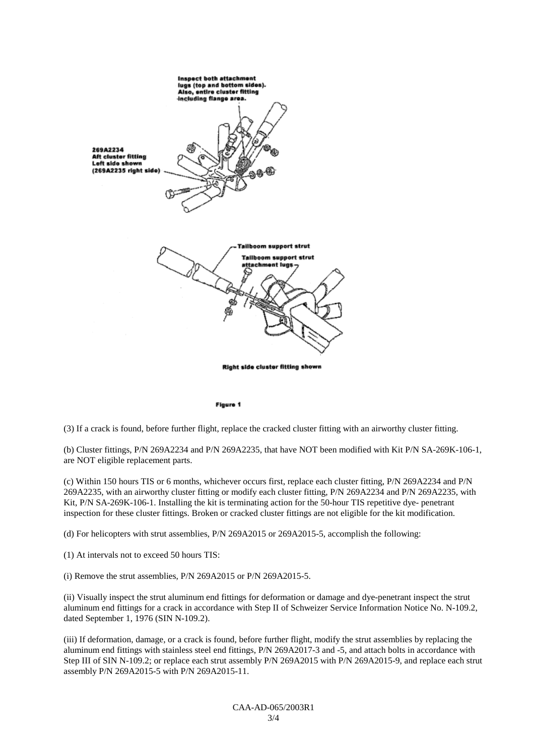

#### Figure 1

(3) If a crack is found, before further flight, replace the cracked cluster fitting with an airworthy cluster fitting.

(b) Cluster fittings, P/N 269A2234 and P/N 269A2235, that have NOT been modified with Kit P/N SA-269K-106-1, are NOT eligible replacement parts.

(c) Within 150 hours TIS or 6 months, whichever occurs first, replace each cluster fitting, P/N 269A2234 and P/N 269A2235, with an airworthy cluster fitting or modify each cluster fitting, P/N 269A2234 and P/N 269A2235, with Kit, P/N SA-269K-106-1. Installing the kit is terminating action for the 50-hour TIS repetitive dye- penetrant inspection for these cluster fittings. Broken or cracked cluster fittings are not eligible for the kit modification.

(d) For helicopters with strut assemblies, P/N 269A2015 or 269A2015-5, accomplish the following:

(1) At intervals not to exceed 50 hours TIS:

(i) Remove the strut assemblies, P/N 269A2015 or P/N 269A2015-5.

(ii) Visually inspect the strut aluminum end fittings for deformation or damage and dye-penetrant inspect the strut aluminum end fittings for a crack in accordance with Step II of Schweizer Service Information Notice No. N-109.2, dated September 1, 1976 (SIN N-109.2).

(iii) If deformation, damage, or a crack is found, before further flight, modify the strut assemblies by replacing the aluminum end fittings with stainless steel end fittings, P/N 269A2017-3 and -5, and attach bolts in accordance with Step III of SIN N-109.2; or replace each strut assembly P/N 269A2015 with P/N 269A2015-9, and replace each strut assembly P/N 269A2015-5 with P/N 269A2015-11.